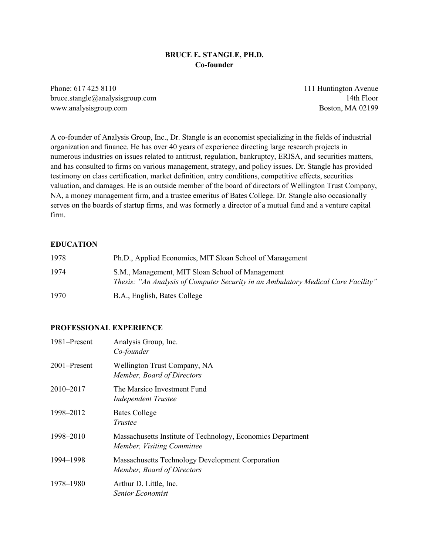#### **BRUCE E. STANGLE, PH.D. Co-founder**

Phone: 617 425 8110 111 Huntington Avenue bruce.stangle@analysisgroup.com 14th Floor www.analysisgroup.com Boston, MA 02199

A co-founder of Analysis Group, Inc., Dr. Stangle is an economist specializing in the fields of industrial organization and finance. He has over 40 years of experience directing large research projects in numerous industries on issues related to antitrust, regulation, bankruptcy, ERISA, and securities matters, and has consulted to firms on various management, strategy, and policy issues. Dr. Stangle has provided testimony on class certification, market definition, entry conditions, competitive effects, securities valuation, and damages. He is an outside member of the board of directors of Wellington Trust Company, NA, a money management firm, and a trustee emeritus of Bates College. Dr. Stangle also occasionally serves on the boards of startup firms, and was formerly a director of a mutual fund and a venture capital firm.

#### **EDUCATION**

| 1978 | Ph.D., Applied Economics, MIT Sloan School of Management                                                                              |
|------|---------------------------------------------------------------------------------------------------------------------------------------|
| 1974 | S.M., Management, MIT Sloan School of Management<br>Thesis: "An Analysis of Computer Security in an Ambulatory Medical Care Facility" |
| 1970 | B.A., English, Bates College                                                                                                          |

#### **PROFESSIONAL EXPERIENCE**

| 1981-Present | Analysis Group, Inc.<br>Co-founder                                                        |
|--------------|-------------------------------------------------------------------------------------------|
| 2001–Present | Wellington Trust Company, NA<br>Member, Board of Directors                                |
| 2010–2017    | The Marsico Investment Fund<br><b>Independent Trustee</b>                                 |
| 1998–2012    | <b>Bates College</b><br>Trustee                                                           |
| 1998–2010    | Massachusetts Institute of Technology, Economics Department<br>Member, Visiting Committee |
| 1994-1998    | Massachusetts Technology Development Corporation<br>Member, Board of Directors            |
| 1978-1980    | Arthur D. Little, Inc.<br>Senior Economist                                                |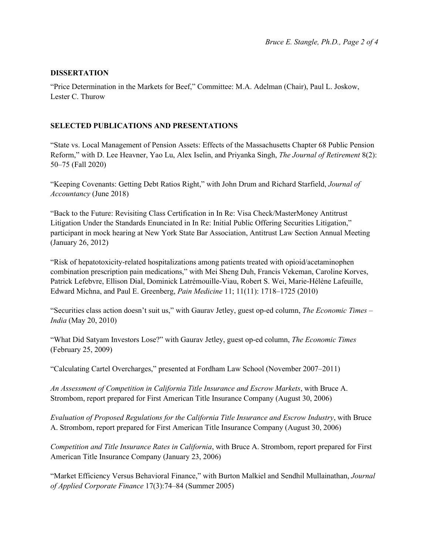## **DISSERTATION**

"Price Determination in the Markets for Beef," Committee: M.A. Adelman (Chair), Paul L. Joskow, Lester C. Thurow

## **SELECTED PUBLICATIONS AND PRESENTATIONS**

"State vs. Local Management of Pension Assets: Effects of the Massachusetts Chapter 68 Public Pension Reform," with D. Lee Heavner, Yao Lu, Alex Iselin, and Priyanka Singh, *The Journal of Retirement* 8(2): 50–75 (Fall 2020)

"Keeping Covenants: Getting Debt Ratios Right," with John Drum and Richard Starfield, *Journal of Accountancy* (June 2018)

"Back to the Future: Revisiting Class Certification in In Re: Visa Check/MasterMoney Antitrust Litigation Under the Standards Enunciated in In Re: Initial Public Offering Securities Litigation," participant in mock hearing at New York State Bar Association, Antitrust Law Section Annual Meeting (January 26, 2012)

"Risk of hepatotoxicity-related hospitalizations among patients treated with opioid/acetaminophen combination prescription pain medications," with Mei Sheng Duh, Francis Vekeman, Caroline Korves, Patrick Lefebvre, Ellison Dial, Dominick Latrémouille-Viau, Robert S. Wei, Marie-Hélène Lafeuille, Edward Michna, and Paul E. Greenberg, *Pain Medicine* 11; 11(11): 1718–1725 (2010)

"Securities class action doesn't suit us," with Gaurav Jetley, guest op-ed column, *The Economic Times – India* (May 20, 2010)

"What Did Satyam Investors Lose?" with Gaurav Jetley, guest op-ed column, *The Economic Times* (February 25, 2009)

"Calculating Cartel Overcharges," presented at Fordham Law School (November 2007–2011)

*An Assessment of Competition in California Title Insurance and Escrow Markets*, with Bruce A. Strombom, report prepared for First American Title Insurance Company (August 30, 2006)

*Evaluation of Proposed Regulations for the California Title Insurance and Escrow Industry*, with Bruce A. Strombom, report prepared for First American Title Insurance Company (August 30, 2006)

*Competition and Title Insurance Rates in California*, with Bruce A. Strombom, report prepared for First American Title Insurance Company (January 23, 2006)

"Market Efficiency Versus Behavioral Finance," with Burton Malkiel and Sendhil Mullainathan, *Journal of Applied Corporate Finance* 17(3):74–84 (Summer 2005)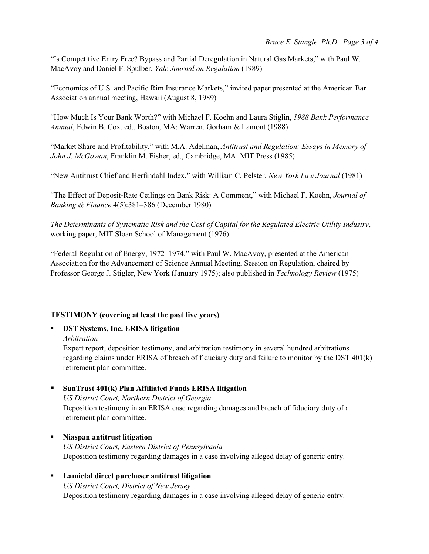"Is Competitive Entry Free? Bypass and Partial Deregulation in Natural Gas Markets," with Paul W. MacAvoy and Daniel F. Spulber, *Yale Journal on Regulation* (1989)

"Economics of U.S. and Pacific Rim Insurance Markets," invited paper presented at the American Bar Association annual meeting, Hawaii (August 8, 1989)

"How Much Is Your Bank Worth?" with Michael F. Koehn and Laura Stiglin, *1988 Bank Performance Annual*, Edwin B. Cox, ed., Boston, MA: Warren, Gorham & Lamont (1988)

"Market Share and Profitability," with M.A. Adelman, *Antitrust and Regulation: Essays in Memory of John J. McGowan*, Franklin M. Fisher, ed., Cambridge, MA: MIT Press (1985)

"New Antitrust Chief and Herfindahl Index," with William C. Pelster, *New York Law Journal* (1981)

"The Effect of Deposit-Rate Ceilings on Bank Risk: A Comment," with Michael F. Koehn, *Journal of Banking & Finance* 4(5):381–386 (December 1980)

*The Determinants of Systematic Risk and the Cost of Capital for the Regulated Electric Utility Industry*, working paper, MIT Sloan School of Management (1976)

"Federal Regulation of Energy, 1972–1974," with Paul W. MacAvoy, presented at the American Association for the Advancement of Science Annual Meeting, Session on Regulation, chaired by Professor George J. Stigler, New York (January 1975); also published in *Technology Review* (1975)

## **TESTIMONY (covering at least the past five years)**

#### **DST Systems, Inc. ERISA litigation**

*Arbitration*

Expert report, deposition testimony, and arbitration testimony in several hundred arbitrations regarding claims under ERISA of breach of fiduciary duty and failure to monitor by the DST 401(k) retirement plan committee.

## **SunTrust 401(k) Plan Affiliated Funds ERISA litigation**

*US District Court, Northern District of Georgia* Deposition testimony in an ERISA case regarding damages and breach of fiduciary duty of a retirement plan committee.

## **Niaspan antitrust litigation** *US District Court, Eastern District of Pennsylvania* Deposition testimony regarding damages in a case involving alleged delay of generic entry.

 **Lamictal direct purchaser antitrust litigation** *US District Court, District of New Jersey* Deposition testimony regarding damages in a case involving alleged delay of generic entry.